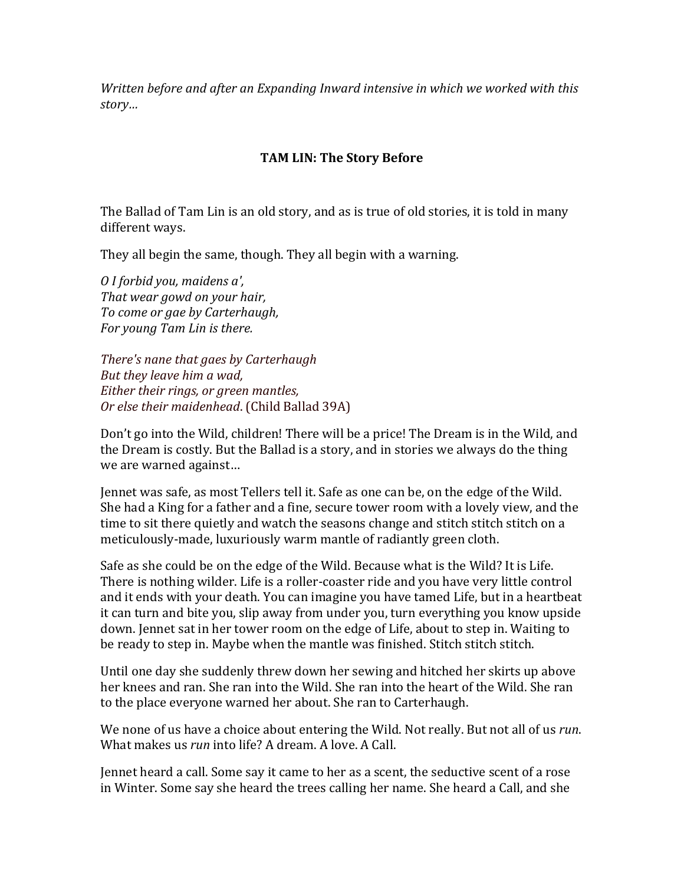*Written before and after an Expanding Inward intensive in which we worked with this story…*

## **TAM LIN: The Story Before**

The Ballad of Tam Lin is an old story, and as is true of old stories, it is told in many different ways.

They all begin the same, though. They all begin with a warning.

*O I forbid you, maidens a', That* wear gowd on your hair, *To come or gae by Carterhaugh, For young Tam Lin is there.*

*There's nane that gaes by Carterhaugh But they leave him a wad. Either their rings, or green mantles, Or else their maidenhead.* (Child Ballad 39A)

Don't go into the Wild, children! There will be a price! The Dream is in the Wild, and the Dream is costly. But the Ballad is a story, and in stories we always do the thing we are warned against...

Iennet was safe, as most Tellers tell it. Safe as one can be, on the edge of the Wild. She had a King for a father and a fine, secure tower room with a lovely view, and the time to sit there quietly and watch the seasons change and stitch stitch stitch on a meticulously-made, luxuriously warm mantle of radiantly green cloth.

Safe as she could be on the edge of the Wild. Because what is the Wild? It is Life. There is nothing wilder. Life is a roller-coaster ride and you have very little control and it ends with your death. You can imagine you have tamed Life, but in a heartbeat it can turn and bite you, slip away from under you, turn everything you know upside down. Jennet sat in her tower room on the edge of Life, about to step in. Waiting to be ready to step in. Maybe when the mantle was finished. Stitch stitch stitch.

Until one day she suddenly threw down her sewing and hitched her skirts up above her knees and ran. She ran into the Wild. She ran into the heart of the Wild. She ran to the place everyone warned her about. She ran to Carterhaugh.

We none of us have a choice about entering the Wild. Not really. But not all of us *run*. What makes us *run* into life? A dream. A love. A Call.

Jennet heard a call. Some say it came to her as a scent, the seductive scent of a rose in Winter. Some say she heard the trees calling her name. She heard a Call, and she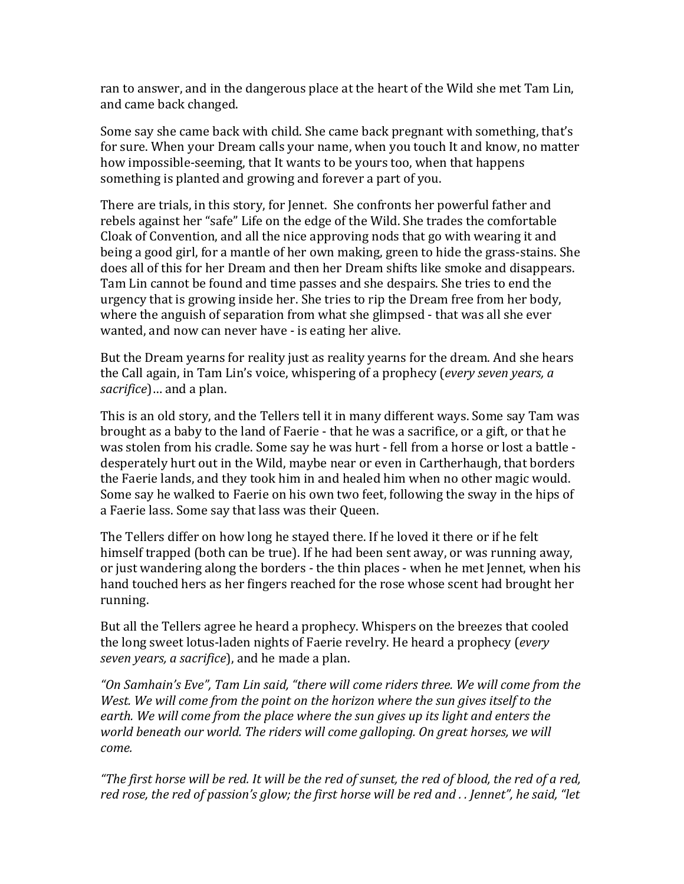ran to answer, and in the dangerous place at the heart of the Wild she met Tam Lin, and came back changed.

Some say she came back with child. She came back pregnant with something, that's for sure. When your Dream calls your name, when you touch It and know, no matter how impossible-seeming, that It wants to be yours too, when that happens something is planted and growing and forever a part of you.

There are trials, in this story, for Jennet. She confronts her powerful father and rebels against her "safe" Life on the edge of the Wild. She trades the comfortable Cloak of Convention, and all the nice approving nods that go with wearing it and being a good girl, for a mantle of her own making, green to hide the grass-stains. She does all of this for her Dream and then her Dream shifts like smoke and disappears. Tam Lin cannot be found and time passes and she despairs. She tries to end the urgency that is growing inside her. She tries to rip the Dream free from her body, where the anguish of separation from what she glimpsed - that was all she ever wanted, and now can never have - is eating her alive.

But the Dream yearns for reality just as reality yearns for the dream. And she hears the Call again, in Tam Lin's voice, whispering of a prophecy (*every seven years, a sacrifice*)… and a plan.

This is an old story, and the Tellers tell it in many different ways. Some say Tam was brought as a baby to the land of Faerie - that he was a sacrifice, or a gift, or that he was stolen from his cradle. Some say he was hurt - fell from a horse or lost a battle desperately hurt out in the Wild, maybe near or even in Cartherhaugh, that borders the Faerie lands, and they took him in and healed him when no other magic would. Some say he walked to Faerie on his own two feet, following the sway in the hips of a Faerie lass. Some say that lass was their Queen.

The Tellers differ on how long he stayed there. If he loved it there or if he felt himself trapped (both can be true). If he had been sent away, or was running away, or just wandering along the borders - the thin places - when he met Jennet, when his hand touched hers as her fingers reached for the rose whose scent had brought her running.

But all the Tellers agree he heard a prophecy. Whispers on the breezes that cooled the long sweet lotus-laden nights of Faerie revelry. He heard a prophecy (*every seven years, a sacrifice*), and he made a plan.

"On Samhain's Eve", Tam Lin said, "there will come riders three. We will come from the *West.* We will come from the point on the horizon where the sun gives itself to the *earth.* We will come from the place where the sun gives up its light and enters the *world beneath our world. The riders will come galloping. On great horses, we will come.*

"The first horse will be red. It will be the red of sunset, the red of blood, the red of a red, *red rose,* the red of passion's glow; the first horse will be red and . . Jennet", he said, "let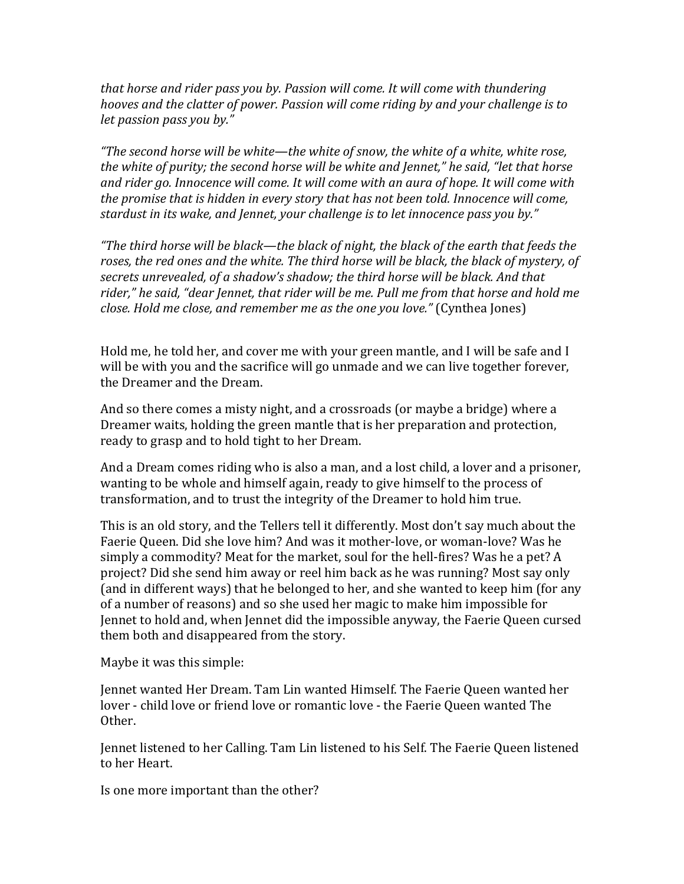*that horse and rider pass you by. Passion will come. It will come with thundering hooves and the clatter of power. Passion will come riding by and your challenge is to let passion pass you by."* 

*"The second horse will be white—the white of snow, the white of a white, white rose, the* white of purity; the second horse will be white and Jennet." he said, "let that horse and rider go. Innocence will come. It will come with an aura of hope. It will come with *the promise that is hidden in every story that has not been told. Innocence will come, stardust in its wake, and Jennet, your challenge is to let innocence pass you by."* 

"The third horse will be black—the black of night, the black of the earth that feeds the roses, the red ones and the white. The third horse will be black, the black of mystery, of secrets unrevealed, of a shadow's shadow; the third horse will be black. And that rider," he said, "dear Jennet, that rider will be me. Pull me from that horse and hold me *close. Hold me close, and remember me as the one you love."* (Cynthea Jones)

Hold me, he told her, and cover me with your green mantle, and I will be safe and I will be with you and the sacrifice will go unmade and we can live together forever, the Dreamer and the Dream.

And so there comes a misty night, and a crossroads (or maybe a bridge) where a Dreamer waits, holding the green mantle that is her preparation and protection, ready to grasp and to hold tight to her Dream.

And a Dream comes riding who is also a man, and a lost child, a lover and a prisoner, wanting to be whole and himself again, ready to give himself to the process of transformation, and to trust the integrity of the Dreamer to hold him true.

This is an old story, and the Tellers tell it differently. Most don't say much about the Faerie Oueen. Did she love him? And was it mother-love, or woman-love? Was he simply a commodity? Meat for the market, soul for the hell-fires? Was he a pet? A project? Did she send him away or reel him back as he was running? Most say only (and in different ways) that he belonged to her, and she wanted to keep him (for any of a number of reasons) and so she used her magic to make him impossible for Jennet to hold and, when Jennet did the impossible anyway, the Faerie Queen cursed them both and disappeared from the story.

Maybe it was this simple:

Jennet wanted Her Dream. Tam Lin wanted Himself. The Faerie Queen wanted her lover - child love or friend love or romantic love - the Faerie Queen wanted The Other.

Jennet listened to her Calling. Tam Lin listened to his Self. The Faerie Queen listened to her Heart.

Is one more important than the other?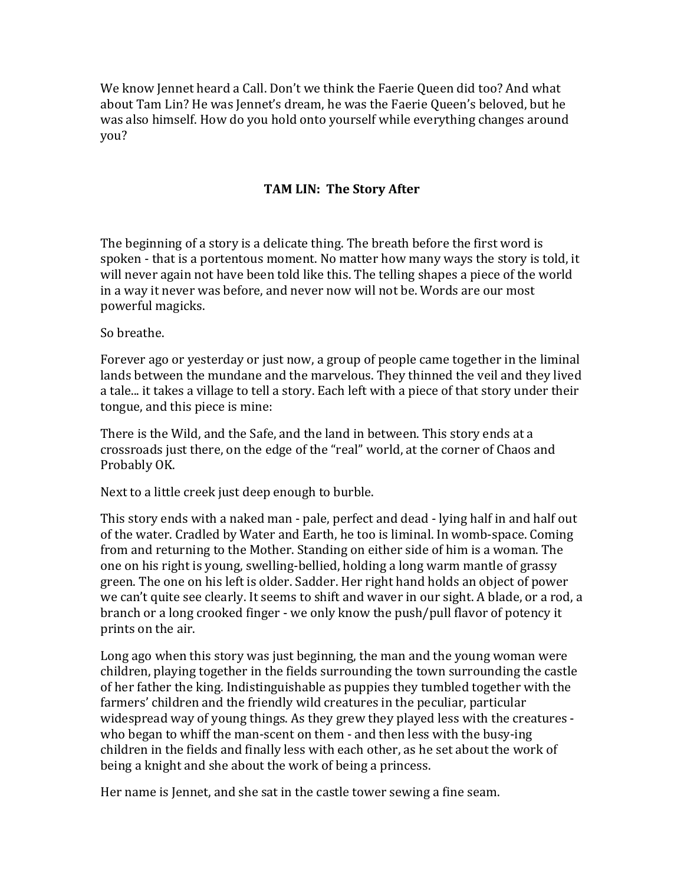We know Jennet heard a Call. Don't we think the Faerie Queen did too? And what about Tam Lin? He was Jennet's dream, he was the Faerie Queen's beloved, but he was also himself. How do you hold onto yourself while everything changes around you? 

## **TAM LIN: The Story After**

The beginning of a story is a delicate thing. The breath before the first word is spoken - that is a portentous moment. No matter how many ways the story is told, it will never again not have been told like this. The telling shapes a piece of the world in a way it never was before, and never now will not be. Words are our most powerful magicks.

So breathe.

Forever ago or yesterday or just now, a group of people came together in the liminal lands between the mundane and the marvelous. They thinned the veil and they lived a tale... it takes a village to tell a story. Each left with a piece of that story under their tongue, and this piece is mine:

There is the Wild, and the Safe, and the land in between. This story ends at a crossroads just there, on the edge of the "real" world, at the corner of Chaos and Probably OK.

Next to a little creek just deep enough to burble.

This story ends with a naked man - pale, perfect and dead - lying half in and half out of the water. Cradled by Water and Earth, he too is liminal. In womb-space. Coming from and returning to the Mother. Standing on either side of him is a woman. The one on his right is young, swelling-bellied, holding a long warm mantle of grassy green. The one on his left is older. Sadder. Her right hand holds an object of power we can't quite see clearly. It seems to shift and waver in our sight. A blade, or a rod, a branch or a long crooked finger - we only know the push/pull flavor of potency it prints on the air.

Long ago when this story was just beginning, the man and the young woman were children, playing together in the fields surrounding the town surrounding the castle of her father the king. Indistinguishable as puppies they tumbled together with the farmers' children and the friendly wild creatures in the peculiar, particular widespread way of young things. As they grew they played less with the creatures who began to whiff the man-scent on them - and then less with the busy-ing children in the fields and finally less with each other, as he set about the work of being a knight and she about the work of being a princess.

Her name is Jennet, and she sat in the castle tower sewing a fine seam.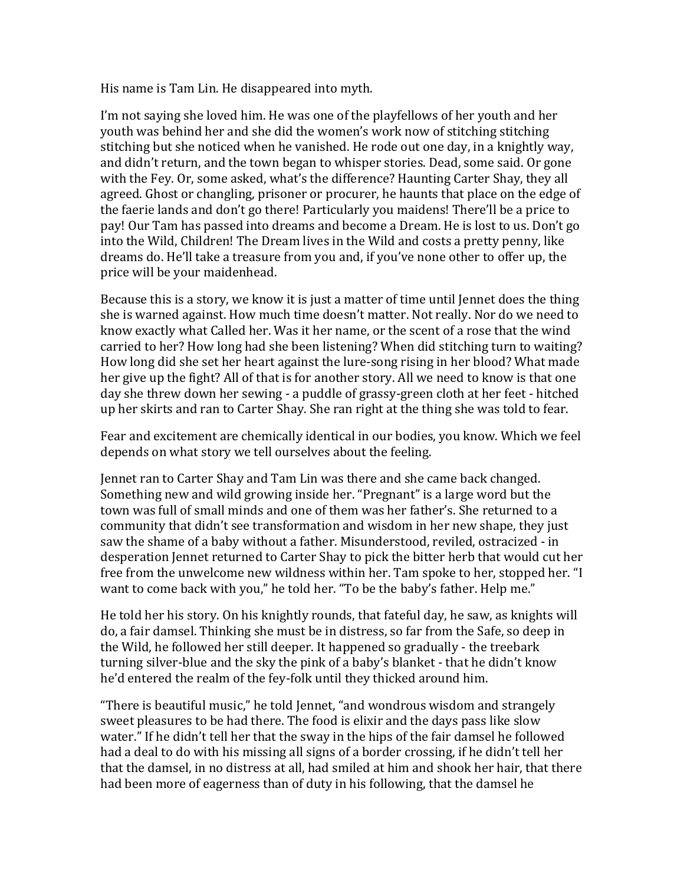His name is Tam Lin. He disappeared into myth.

I'm not saying she loved him. He was one of the playfellows of her youth and her youth was behind her and she did the women's work now of stitching stitching stitching but she noticed when he vanished. He rode out one day, in a knightly way, and didn't return, and the town began to whisper stories. Dead, some said. Or gone with the Fey. Or, some asked, what's the difference? Haunting Carter Shay, they all agreed. Ghost or changling, prisoner or procurer, he haunts that place on the edge of the faerie lands and don't go there! Particularly you maidens! There'll be a price to pay! Our Tam has passed into dreams and become a Dream. He is lost to us. Don't go into the Wild, Children! The Dream lives in the Wild and costs a pretty penny, like dreams do. He'll take a treasure from you and, if you've none other to offer up, the price will be your maidenhead.

Because this is a story, we know it is just a matter of time until Jennet does the thing she is warned against. How much time doesn't matter. Not really. Nor do we need to know exactly what Called her. Was it her name, or the scent of a rose that the wind carried to her? How long had she been listening? When did stitching turn to waiting? How long did she set her heart against the lure-song rising in her blood? What made her give up the fight? All of that is for another story. All we need to know is that one day she threw down her sewing - a puddle of grassy-green cloth at her feet - hitched up her skirts and ran to Carter Shay. She ran right at the thing she was told to fear.

Fear and excitement are chemically identical in our bodies, you know. Which we feel depends on what story we tell ourselves about the feeling.

Jennet ran to Carter Shay and Tam Lin was there and she came back changed. Something new and wild growing inside her. "Pregnant" is a large word but the town was full of small minds and one of them was her father's. She returned to a community that didn't see transformation and wisdom in her new shape, they just saw the shame of a baby without a father. Misunderstood, reviled, ostracized - in desperation Jennet returned to Carter Shay to pick the bitter herb that would cut her free from the unwelcome new wildness within her. Tam spoke to her, stopped her. "I want to come back with you," he told her. "To be the baby's father. Help me."

He told her his story. On his knightly rounds, that fateful day, he saw, as knights will do, a fair damsel. Thinking she must be in distress, so far from the Safe, so deep in the Wild, he followed her still deeper. It happened so gradually - the treebark turning silver-blue and the sky the pink of a baby's blanket - that he didn't know he'd entered the realm of the fey-folk until they thicked around him.

"There is beautiful music," he told Jennet, "and wondrous wisdom and strangely sweet pleasures to be had there. The food is elixir and the days pass like slow water." If he didn't tell her that the sway in the hips of the fair damsel he followed had a deal to do with his missing all signs of a border crossing, if he didn't tell her that the damsel, in no distress at all, had smiled at him and shook her hair, that there had been more of eagerness than of duty in his following, that the damsel he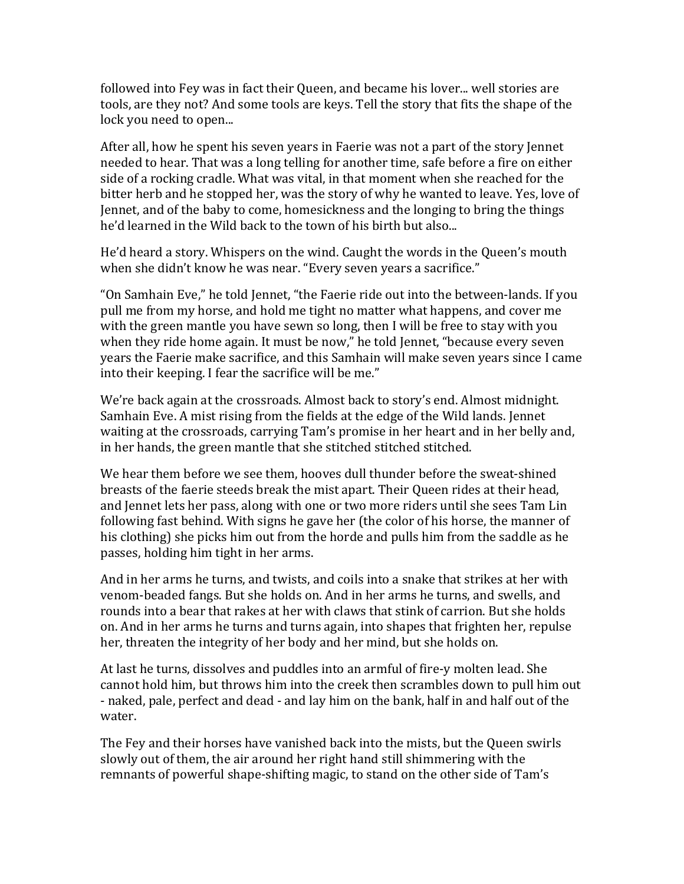followed into Fey was in fact their Queen, and became his lover... well stories are tools, are they not? And some tools are keys. Tell the story that fits the shape of the lock you need to open...

After all, how he spent his seven years in Faerie was not a part of the story Jennet needed to hear. That was a long telling for another time, safe before a fire on either side of a rocking cradle. What was vital, in that moment when she reached for the bitter herb and he stopped her, was the story of why he wanted to leave. Yes, love of Jennet, and of the baby to come, homesickness and the longing to bring the things he'd learned in the Wild back to the town of his birth but also...

He'd heard a story. Whispers on the wind. Caught the words in the Queen's mouth when she didn't know he was near. "Every seven years a sacrifice."

"On Samhain Eve," he told Jennet, "the Faerie ride out into the between-lands. If you pull me from my horse, and hold me tight no matter what happens, and cover me with the green mantle you have sewn so long, then I will be free to stay with you when they ride home again. It must be now," he told Jennet, "because every seven years the Faerie make sacrifice, and this Samhain will make seven years since I came into their keeping. I fear the sacrifice will be me."

We're back again at the crossroads. Almost back to story's end. Almost midnight. Samhain Eve. A mist rising from the fields at the edge of the Wild lands. Jennet waiting at the crossroads, carrying Tam's promise in her heart and in her belly and, in her hands, the green mantle that she stitched stitched stitched.

We hear them before we see them, hooves dull thunder before the sweat-shined breasts of the faerie steeds break the mist apart. Their Queen rides at their head, and Jennet lets her pass, along with one or two more riders until she sees Tam Lin following fast behind. With signs he gave her (the color of his horse, the manner of his clothing) she picks him out from the horde and pulls him from the saddle as he passes, holding him tight in her arms.

And in her arms he turns, and twists, and coils into a snake that strikes at her with venom-beaded fangs. But she holds on. And in her arms he turns, and swells, and rounds into a bear that rakes at her with claws that stink of carrion. But she holds on. And in her arms he turns and turns again, into shapes that frighten her, repulse her, threaten the integrity of her body and her mind, but she holds on.

At last he turns, dissolves and puddles into an armful of fire-y molten lead. She cannot hold him, but throws him into the creek then scrambles down to pull him out - naked, pale, perfect and dead - and lay him on the bank, half in and half out of the water.

The Fey and their horses have vanished back into the mists, but the Queen swirls slowly out of them, the air around her right hand still shimmering with the remnants of powerful shape-shifting magic, to stand on the other side of Tam's